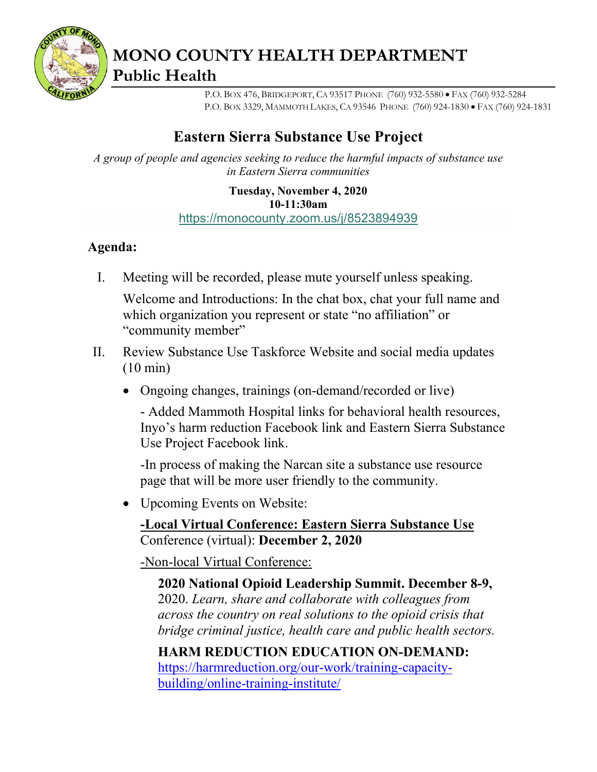

**MONO COUNTY HEALTH DEPARTMENT Public Health**

> P.O. BOX 476, BRIDGEPORT, CA 93517 PHONE (760) 932-5580 • FAX (760) 932-5284 P.O. BOX 3329, MAMMOTH LAKES, CA 93546 PHONE (760) 924-1830 • FAX (760) 924-1831

## **Eastern Sierra Substance Use Project**

*A group of people and agencies seeking to reduce the harmful impacts of substance use in Eastern Sierra communities*

> **Tuesday, November 4, 2020 10-11:30am** <https://monocounty.zoom.us/j/8523894939>

#### **Agenda:**

I. Meeting will be recorded, please mute yourself unless speaking.

Welcome and Introductions: In the chat box, chat your full name and which organization you represent or state "no affiliation" or "community member"

- II. Review Substance Use Taskforce Website and social media updates (10 min)
	- Ongoing changes, trainings (on-demand/recorded or live)

- Added Mammoth Hospital links for behavioral health resources, Inyo's harm reduction Facebook link and Eastern Sierra Substance Use Project Facebook link.

-In process of making the Narcan site a substance use resource page that will be more user friendly to the community.

• Upcoming Events on Website:

**-Local Virtual Conference: Eastern Sierra Substance Use**  Conference (virtual): **December 2, 2020**

-Non-local Virtual Conference:

**2020 National Opioid Leadership Summit. December 8-9,**  2020. *Learn, share and collaborate with colleagues from across the country on real solutions to the opioid crisis that bridge criminal justice, health care and public health sectors.*

**HARM REDUCTION EDUCATION ON-DEMAND:** [https://harmreduction.org/our-work/training-capacity](https://harmreduction.org/our-work/training-capacity-building/online-training-institute/)[building/online-training-institute/](https://harmreduction.org/our-work/training-capacity-building/online-training-institute/)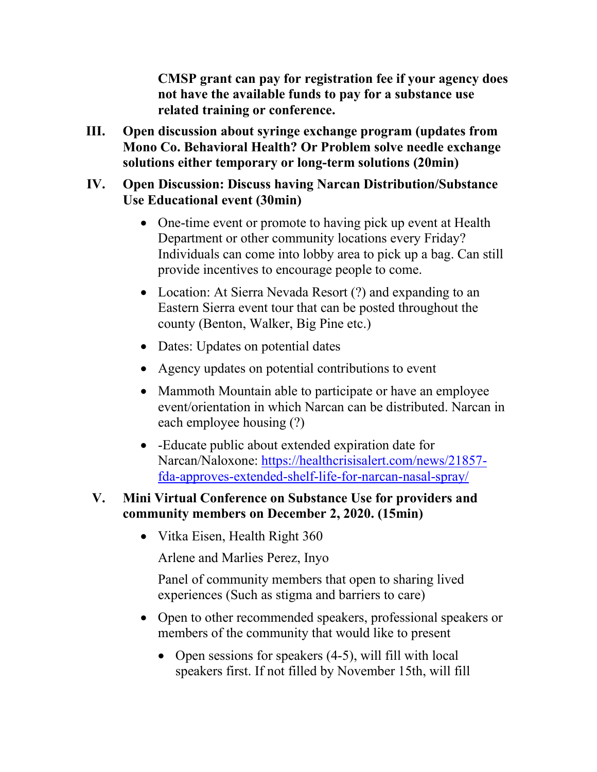**CMSP grant can pay for registration fee if your agency does not have the available funds to pay for a substance use related training or conference.**

**III. Open discussion about syringe exchange program (updates from Mono Co. Behavioral Health? Or Problem solve needle exchange solutions either temporary or long-term solutions (20min)**

#### **IV. Open Discussion: Discuss having Narcan Distribution/Substance Use Educational event (30min)**

- One-time event or promote to having pick up event at Health Department or other community locations every Friday? Individuals can come into lobby area to pick up a bag. Can still provide incentives to encourage people to come.
- Location: At Sierra Nevada Resort (?) and expanding to an Eastern Sierra event tour that can be posted throughout the county (Benton, Walker, Big Pine etc.)
- Dates: Updates on potential dates
- Agency updates on potential contributions to event
- Mammoth Mountain able to participate or have an employee event/orientation in which Narcan can be distributed. Narcan in each employee housing (?)
- -Educate public about extended expiration date for Narcan/Naloxone: [https://healthcrisisalert.com/news/21857](https://healthcrisisalert.com/news/21857-fda-approves-extended-shelf-life-for-narcan-nasal-spray/) [fda-approves-extended-shelf-life-for-narcan-nasal-spray/](https://healthcrisisalert.com/news/21857-fda-approves-extended-shelf-life-for-narcan-nasal-spray/)

#### **V. Mini Virtual Conference on Substance Use for providers and community members on December 2, 2020. (15min)**

• Vitka Eisen, Health Right 360

Arlene and Marlies Perez, Inyo

Panel of community members that open to sharing lived experiences (Such as stigma and barriers to care)

- Open to other recommended speakers, professional speakers or members of the community that would like to present
	- Open sessions for speakers (4-5), will fill with local speakers first. If not filled by November 15th, will fill